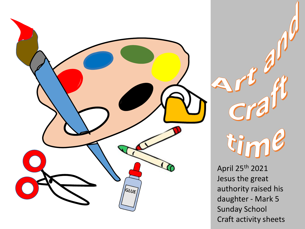

tin

April 25th 2021 Jesus the great authority raised his daughter - Mark 5 Sunday School Craft activity sheets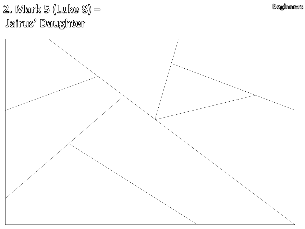2. Mark 5 (Luke 8) — Jairus' Daughter



**Beginners**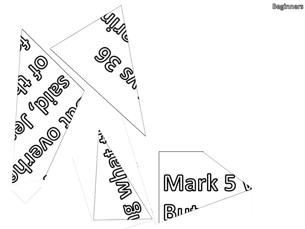**Beginners** 

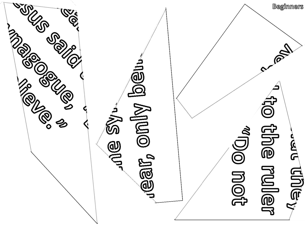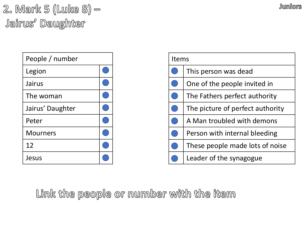2. Mark 5 (Luke 8) — Jairus<sup>,</sup> Daughter

| People / number  |  |
|------------------|--|
| Legion           |  |
| Jairus           |  |
| The woman        |  |
| Jairus' Daughter |  |
| Peter            |  |
| <b>Mourners</b>  |  |
| 12               |  |
| Jesus            |  |

| <b>Items</b> |                                  |
|--------------|----------------------------------|
|              | This person was dead             |
| $\Box$       | One of the people invited in     |
|              | The Fathers perfect authority    |
| P            | The picture of perfect authority |
| D            | A Man troubled with demons       |
|              | Person with internal bleeding    |
|              | These people made lots of noise  |
|              | Leader of the synagogue          |

Link the people or number with the item